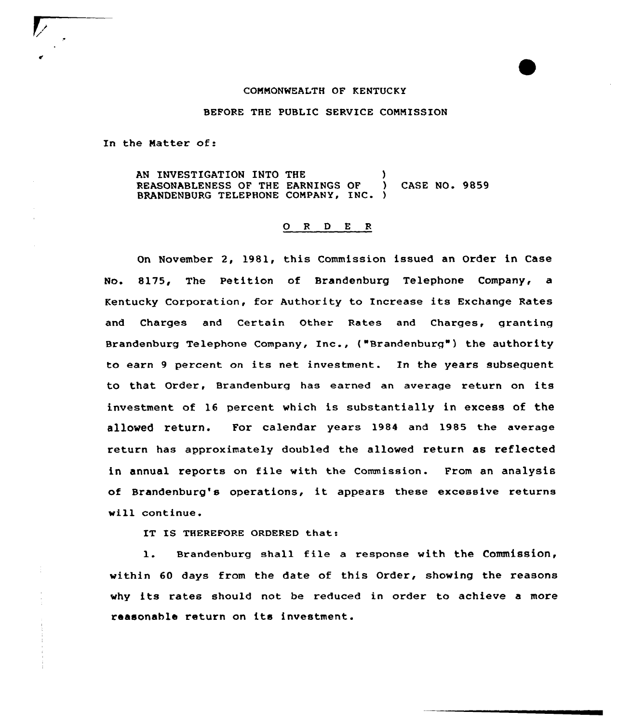## COMMONWEALTH OF KENTUCKY

## BEFORE THE PUBLIC SERVICE COMMISSION

In the Matter of:

AN INVESTIGATION INTO THE (1997) REASONABLENESS OF THE EARNINGS OF ) CASE NO. 9859 BRANDENBURG TELEPHONE COMPANY, INC. }

## 0 <sup>R</sup> <sup>D</sup> <sup>E</sup> <sup>R</sup>

On November 2, 1981, this Commission issued an Order in Case No. 8175, The Petition of Brandenburg Telephone Company, a Kentucky Corporation, for Authority to Increase its Exchange Rates and Charges and Certain Other Rates and Charges, granting Brandenburg Telephone Company, Inc., {"Brandenburg") the authority to earn <sup>9</sup> percent on its net investment. In the years subsequent to that Order, Brandenburg has earned an average return on its investment of 16 percent which is substantially in excess of the allowed return. For calendar years 1984 and 1985 the average return has approximately doubled the allowed return as reflected in annual reports on file with the Commission. From an analysis of Brandenburg's operations, it appears these excessive returns will continue.

IT IS THEREFORE ORDERED that:

1. Brandenburg shall file <sup>a</sup> response with the commission, within 60 days from the date of this Order, showing the reasons why its rates should not be reduced in order to achieve <sup>a</sup> more reasonable return on its investment.